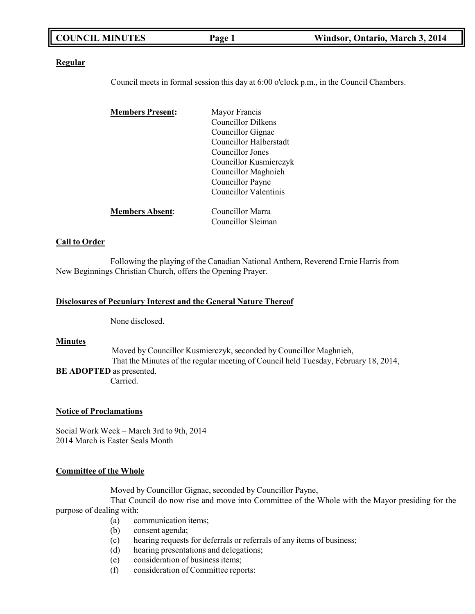|--|

#### **Regular**

Council meets in formal session this day at 6:00 o'clock p.m., in the Council Chambers.

| <b>Members Present:</b> | Mayor Francis             |
|-------------------------|---------------------------|
|                         | <b>Councillor Dilkens</b> |
|                         | Councillor Gignac         |
|                         | Councillor Halberstadt    |
|                         | Councillor Jones          |
|                         | Councillor Kusmierczyk    |
|                         | Councillor Maghnieh       |
|                         | Councillor Payne          |
|                         | Councillor Valentinis     |
| <b>Members Absent:</b>  | Councillor Marra          |
|                         | Councillor Sleiman        |

#### **Call to Order**

Following the playing of the Canadian National Anthem, Reverend Ernie Harris from New Beginnings Christian Church, offers the Opening Prayer.

#### **Disclosures of Pecuniary Interest and the General Nature Thereof**

None disclosed.

### **Minutes**

Moved by Councillor Kusmierczyk, seconded by Councillor Maghnieh, That the Minutes of the regular meeting of Council held Tuesday, February 18, 2014, **BE ADOPTED** as presented. Carried.

#### **Notice of Proclamations**

Social Work Week – March 3rd to 9th, 2014 2014 March is Easter Seals Month

#### **Committee of the Whole**

Moved by Councillor Gignac, seconded by Councillor Payne,

That Council do now rise and move into Committee of the Whole with the Mayor presiding for the purpose of dealing with:

- (a) communication items;
- (b) consent agenda;
- (c) hearing requests for deferrals or referrals of any items of business;
- (d) hearing presentations and delegations;
- (e) consideration of business items;
- (f) consideration of Committee reports: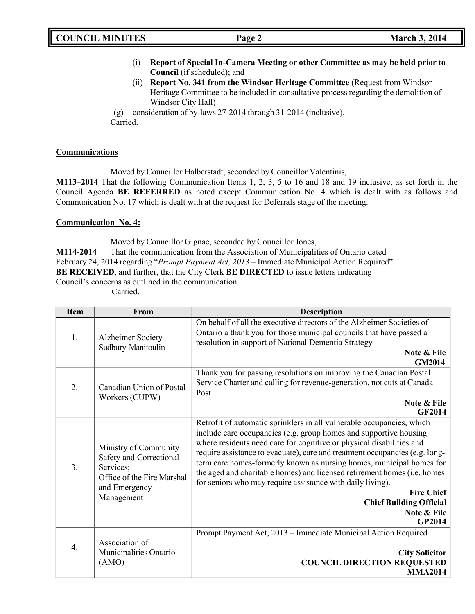|  | <b>COUNCIL MINUTES</b> |
|--|------------------------|
|--|------------------------|

- (i) **Report of Special In-Camera Meeting or other Committee as may be held prior to Council** (if scheduled); and
- (ii) **Report No. 341 from the Windsor Heritage Committee** (Request from Windsor Heritage Committee to be included in consultative process regarding the demolition of Windsor City Hall)

(g) consideration of by-laws 27-2014 through 31-2014 (inclusive). Carried.

### **Communications**

Moved by Councillor Halberstadt, seconded by Councillor Valentinis,

**M113–2014** That the following Communication Items 1, 2, 3, 5 to 16 and 18 and 19 inclusive, as set forth in the Council Agenda **BE REFERRED** as noted except Communication No. 4 which is dealt with as follows and Communication No. 17 which is dealt with at the request for Deferrals stage of the meeting.

## **Communication No. 4:**

Moved by Councillor Gignac, seconded by Councillor Jones,

**M114-2014** That the communication from the Association of Municipalities of Ontario dated February 24, 2014 regarding "*Prompt Payment Act, 2013* – Immediate Municipal Action Required" **BE RECEIVED**, and further, that the City Clerk **BE DIRECTED** to issue letters indicating Council's concerns as outlined in the communication.

Carried.

| <b>Item</b>      | <b>From</b>                                                                                                                | <b>Description</b>                                                                                                                                                                                                                                                                                                                                                                                                                                                                                                                                                                                         |
|------------------|----------------------------------------------------------------------------------------------------------------------------|------------------------------------------------------------------------------------------------------------------------------------------------------------------------------------------------------------------------------------------------------------------------------------------------------------------------------------------------------------------------------------------------------------------------------------------------------------------------------------------------------------------------------------------------------------------------------------------------------------|
| 1.               | <b>Alzheimer Society</b><br>Sudbury-Manitoulin                                                                             | On behalf of all the executive directors of the Alzheimer Societies of<br>Ontario a thank you for those municipal councils that have passed a<br>resolution in support of National Dementia Strategy<br>Note & File                                                                                                                                                                                                                                                                                                                                                                                        |
|                  |                                                                                                                            | <b>GM2014</b>                                                                                                                                                                                                                                                                                                                                                                                                                                                                                                                                                                                              |
| 2.               | Canadian Union of Postal<br>Workers (CUPW)                                                                                 | Thank you for passing resolutions on improving the Canadian Postal<br>Service Charter and calling for revenue-generation, not cuts at Canada<br>Post<br>Note & File<br>GF2014                                                                                                                                                                                                                                                                                                                                                                                                                              |
| 3.               | Ministry of Community<br>Safety and Correctional<br>Services;<br>Office of the Fire Marshal<br>and Emergency<br>Management | Retrofit of automatic sprinklers in all vulnerable occupancies, which<br>include care occupancies (e.g. group homes and supportive housing<br>where residents need care for cognitive or physical disabilities and<br>require assistance to evacuate), care and treatment occupancies (e.g. long-<br>term care homes-formerly known as nursing homes, municipal homes for<br>the aged and charitable homes) and licensed retirement homes (i.e. homes<br>for seniors who may require assistance with daily living).<br><b>Fire Chief</b><br><b>Chief Building Official</b><br>Note & File<br><b>GP2014</b> |
| $\overline{4}$ . | Association of<br>Municipalities Ontario<br>(AMO)                                                                          | Prompt Payment Act, 2013 – Immediate Municipal Action Required<br><b>City Solicitor</b><br><b>COUNCIL DIRECTION REQUESTED</b><br><b>MMA2014</b>                                                                                                                                                                                                                                                                                                                                                                                                                                                            |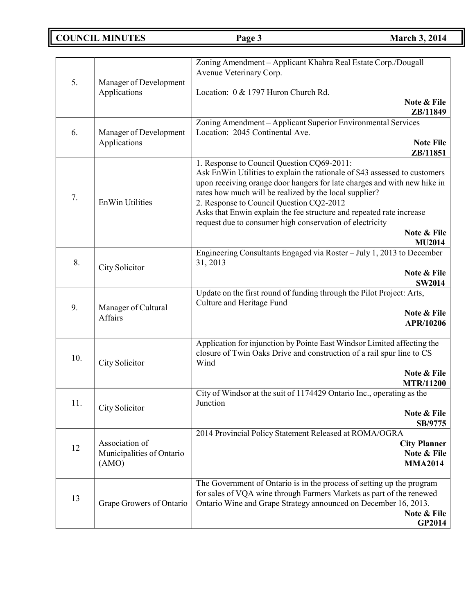# **COUNCIL MINUTES Page 3 March 3, 2014**

|     |                                                                                                    | Zoning Amendment - Applicant Khahra Real Estate Corp./Dougall                                                                           |  |
|-----|----------------------------------------------------------------------------------------------------|-----------------------------------------------------------------------------------------------------------------------------------------|--|
| 5.  | Manager of Development                                                                             | Avenue Veterinary Corp.                                                                                                                 |  |
|     | Applications                                                                                       | Location: 0 & 1797 Huron Church Rd.                                                                                                     |  |
|     |                                                                                                    | Note & File                                                                                                                             |  |
|     |                                                                                                    | ZB/11849<br>Zoning Amendment - Applicant Superior Environmental Services                                                                |  |
| 6.  | Manager of Development                                                                             | Location: 2045 Continental Ave.                                                                                                         |  |
|     | Applications                                                                                       | <b>Note File</b>                                                                                                                        |  |
|     |                                                                                                    | ZB/11851<br>1. Response to Council Question CQ69-2011:                                                                                  |  |
|     |                                                                                                    | Ask EnWin Utilities to explain the rationale of \$43 assessed to customers                                                              |  |
|     |                                                                                                    | upon receiving orange door hangers for late charges and with new hike in                                                                |  |
| 7.  | <b>EnWin Utilities</b>                                                                             | rates how much will be realized by the local supplier?                                                                                  |  |
|     |                                                                                                    | 2. Response to Council Question CQ2-2012<br>Asks that Enwin explain the fee structure and repeated rate increase                        |  |
|     |                                                                                                    | request due to consumer high conservation of electricity                                                                                |  |
|     |                                                                                                    | Note & File                                                                                                                             |  |
|     |                                                                                                    | <b>MU2014</b><br>Engineering Consultants Engaged via Roster – July 1, 2013 to December                                                  |  |
| 8.  |                                                                                                    | 31, 2013                                                                                                                                |  |
|     | City Solicitor                                                                                     | Note & File                                                                                                                             |  |
|     |                                                                                                    | <b>SW2014</b>                                                                                                                           |  |
|     | Update on the first round of funding through the Pilot Project: Arts,<br>Culture and Heritage Fund |                                                                                                                                         |  |
| 9.  | Manager of Cultural<br>Affairs                                                                     | Note & File                                                                                                                             |  |
|     |                                                                                                    | APR/10206                                                                                                                               |  |
|     |                                                                                                    | Application for injunction by Pointe East Windsor Limited affecting the                                                                 |  |
| 10. |                                                                                                    | closure of Twin Oaks Drive and construction of a rail spur line to CS                                                                   |  |
|     | City Solicitor                                                                                     | Wind                                                                                                                                    |  |
|     |                                                                                                    | Note & File<br><b>MTR/11200</b>                                                                                                         |  |
|     |                                                                                                    | City of Windsor at the suit of 1174429 Ontario Inc., operating as the                                                                   |  |
| 11. | City Solicitor                                                                                     | Junction                                                                                                                                |  |
|     |                                                                                                    | Note & File<br>SB/9775                                                                                                                  |  |
|     | 2014 Provincial Policy Statement Released at ROMA/OGRA                                             |                                                                                                                                         |  |
| 12  | Association of                                                                                     | <b>City Planner</b>                                                                                                                     |  |
|     | Municipalities of Ontario<br>(AMO)                                                                 | Note & File<br><b>MMA2014</b>                                                                                                           |  |
|     |                                                                                                    |                                                                                                                                         |  |
|     |                                                                                                    | The Government of Ontario is in the process of setting up the program                                                                   |  |
| 13  | Grape Growers of Ontario                                                                           | for sales of VQA wine through Farmers Markets as part of the renewed<br>Ontario Wine and Grape Strategy announced on December 16, 2013. |  |
|     |                                                                                                    | Note & File                                                                                                                             |  |
|     |                                                                                                    | GP2014                                                                                                                                  |  |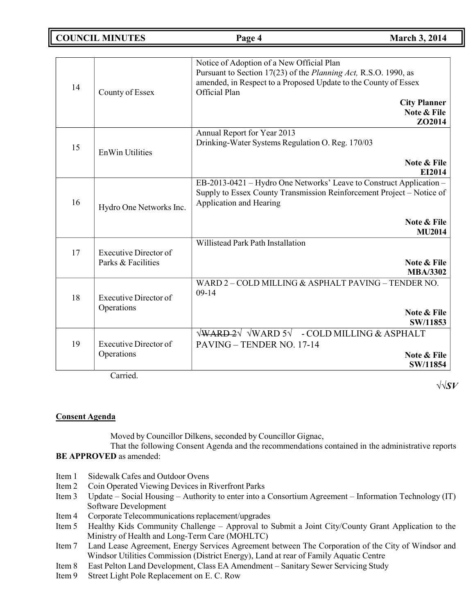**COUNCIL MINUTES Page 4 March 3, 2014**

| 14 | County of Essex                                    | Notice of Adoption of a New Official Plan<br>Pursuant to Section 17(23) of the Planning Act, R.S.O. 1990, as<br>amended, in Respect to a Proposed Update to the County of Essex<br>Official Plan<br><b>City Planner</b><br>Note & File<br>ZO2014 |
|----|----------------------------------------------------|--------------------------------------------------------------------------------------------------------------------------------------------------------------------------------------------------------------------------------------------------|
| 15 | <b>EnWin Utilities</b>                             | Annual Report for Year 2013<br>Drinking-Water Systems Regulation O. Reg. 170/03<br>Note & File<br>EI2014                                                                                                                                         |
| 16 | Hydro One Networks Inc.                            | EB-2013-0421 - Hydro One Networks' Leave to Construct Application -<br>Supply to Essex County Transmission Reinforcement Project - Notice of<br>Application and Hearing<br>Note & File<br><b>MU2014</b>                                          |
| 17 | <b>Executive Director of</b><br>Parks & Facilities | Willistead Park Path Installation<br>Note & File<br><b>MBA/3302</b>                                                                                                                                                                              |
| 18 | <b>Executive Director of</b><br>Operations         | WARD 2 - COLD MILLING & ASPHALT PAVING - TENDER NO.<br>$09-14$<br>Note & File<br>SW/11853                                                                                                                                                        |
| 19 | <b>Executive Director of</b><br>Operations         | $\sqrt{\text{WARD-2}}\sqrt{\text{WARD 5}}\sqrt{-\text{COLD}}$ MILLING & ASPHALT<br>PAVING - TENDER NO. 17-14<br>Note & File<br>SW/11854                                                                                                          |

Carried.

√√*SV*

## **Consent Agenda**

Moved by Councillor Dilkens, seconded by Councillor Gignac,

That the following Consent Agenda and the recommendations contained in the administrative reports **BE APPROVED** as amended:

- Item 1 Sidewalk Cafes and Outdoor Ovens
- Item 2 Coin Operated Viewing Devices in Riverfront Parks
- Item 3 Update Social Housing Authority to enter into a Consortium Agreement Information Technology (IT) Software Development
- Item 4 Corporate Telecommunications replacement/upgrades
- Item 5 Healthy Kids Community Challenge Approval to Submit a Joint City/County Grant Application to the Ministry of Health and Long-Term Care (MOHLTC)
- Item 7 Land Lease Agreement, Energy Services Agreement between The Corporation of the City of Windsor and Windsor Utilities Commission (District Energy), Land at rear of Family Aquatic Centre
- Item 8 East Pelton Land Development, Class EA Amendment Sanitary Sewer Servicing Study<br>Item 9 Street Light Pole Replacement on E. C. Row
- Street Light Pole Replacement on E. C. Row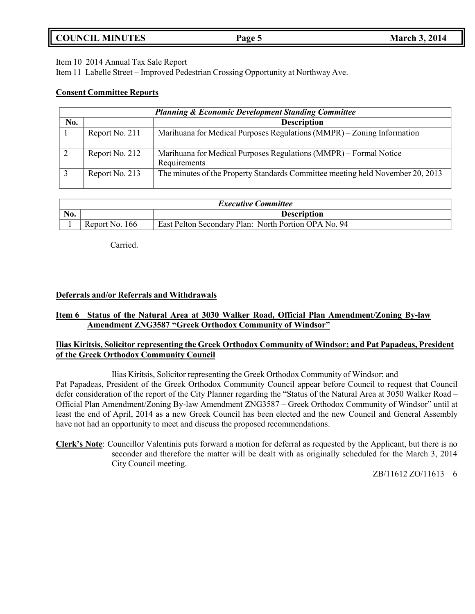# **COUNCIL MINUTES Page 5 March 3, 2014**

Item 10 2014 Annual Tax Sale Report

Item 11 Labelle Street – Improved Pedestrian Crossing Opportunity at Northway Ave.

### **Consent Committee Reports**

| <b>Planning &amp; Economic Development Standing Committee</b> |                |                                                                                   |  |
|---------------------------------------------------------------|----------------|-----------------------------------------------------------------------------------|--|
| No.                                                           |                | <b>Description</b>                                                                |  |
|                                                               | Report No. 211 | Marihuana for Medical Purposes Regulations (MMPR) – Zoning Information            |  |
|                                                               | Report No. 212 | Marihuana for Medical Purposes Regulations (MMPR) – Formal Notice<br>Requirements |  |
|                                                               | Report No. 213 | The minutes of the Property Standards Committee meeting held November 20, 2013    |  |

| <b>Executive Committee</b> |                |                                                      |
|----------------------------|----------------|------------------------------------------------------|
| No.<br><b>Description</b>  |                |                                                      |
|                            | Report No. 166 | East Pelton Secondary Plan: North Portion OPA No. 94 |

Carried.

## **Deferrals and/or Referrals and Withdrawals**

## **Item 6 Status of the Natural Area at 3030 Walker Road, Official Plan Amendment/Zoning By-law Amendment ZNG3587 "Greek Orthodox Community of Windsor"**

## **Ilias Kiritsis, Solicitor representing the Greek Orthodox Community of Windsor; and Pat Papadeas, President of the Greek Orthodox Community Council**

Ilias Kiritsis, Solicitor representing the Greek Orthodox Community of Windsor; and Pat Papadeas, President of the Greek Orthodox Community Council appear before Council to request that Council defer consideration of the report of the City Planner regarding the "Status of the Natural Area at 3050 Walker Road – Official Plan Amendment/Zoning By-law Amendment ZNG3587 – Greek Orthodox Community of Windsor" until at least the end of April, 2014 as a new Greek Council has been elected and the new Council and General Assembly have not had an opportunity to meet and discuss the proposed recommendations.

**Clerk's Note**: Councillor Valentinis puts forward a motion for deferral as requested by the Applicant, but there is no seconder and therefore the matter will be dealt with as originally scheduled for the March 3, 2014 City Council meeting.

ZB/11612 ZO/11613 6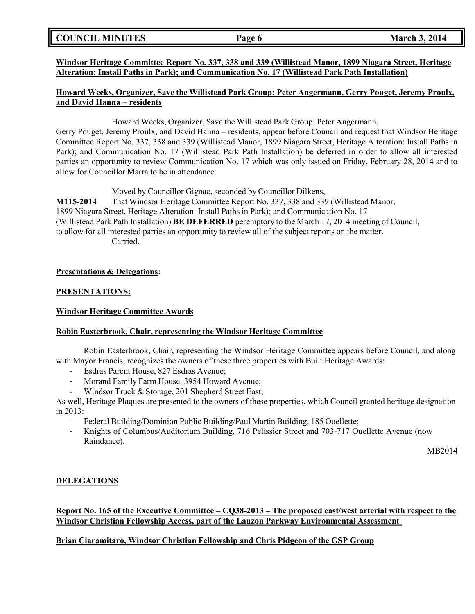## **COUNCIL MINUTES Page 6 March 3, 2014**

## **Windsor Heritage Committee Report No. 337, 338 and 339 (Willistead Manor, 1899 Niagara Street, Heritage Alteration: Install Paths in Park); and Communication No. 17 (Willistead Park Path Installation)**

### **Howard Weeks, Organizer, Save the Willistead Park Group; Peter Angermann, Gerry Pouget, Jeremy Proulx, and David Hanna – residents**

Howard Weeks, Organizer, Save the Willistead Park Group; Peter Angermann, Gerry Pouget, Jeremy Proulx, and David Hanna – residents, appear before Council and request that Windsor Heritage Committee Report No. 337, 338 and 339 (Willistead Manor, 1899 Niagara Street, Heritage Alteration: Install Paths in Park); and Communication No. 17 (Willistead Park Path Installation) be deferred in order to allow all interested parties an opportunity to review Communication No. 17 which was only issued on Friday, February 28, 2014 and to allow for Councillor Marra to be in attendance.

Moved by Councillor Gignac, seconded by Councillor Dilkens, **M115-2014** That Windsor Heritage Committee Report No. 337, 338 and 339 (Willistead Manor, 1899 Niagara Street, Heritage Alteration: Install Paths in Park); and Communication No. 17 (Willistead Park Path Installation) **BE DEFERRED** peremptory to the March 17, 2014 meeting of Council, to allow for all interested parties an opportunity to review all of the subject reports on the matter. Carried.

### **Presentations & Delegations:**

### **PRESENTATIONS:**

#### **Windsor Heritage Committee Awards**

### **Robin Easterbrook, Chair, representing the Windsor Heritage Committee**

Robin Easterbrook, Chair, representing the Windsor Heritage Committee appears before Council, and along with Mayor Francis, recognizes the owners of these three properties with Built Heritage Awards:

- Esdras Parent House, 827 Esdras Avenue;
- Morand Family Farm House, 3954 Howard Avenue;
- Windsor Truck & Storage, 201 Shepherd Street East;

As well, Heritage Plaques are presented to the owners of these properties, which Council granted heritage designation in 2013:

- Federal Building/Dominion Public Building/Paul Martin Building, 185 Ouellette;
- Knights of Columbus/Auditorium Building, 716 Pelissier Street and 703-717 Ouellette Avenue (now Raindance).

MB2014

### **DELEGATIONS**

## **Report No. 165 of the Executive Committee – CQ38-2013 – The proposed east/west arterial with respect to the Windsor Christian Fellowship Access, part of the Lauzon Parkway Environmental Assessment**

### **Brian Ciaramitaro, Windsor Christian Fellowship and Chris Pidgeon of the GSP Group**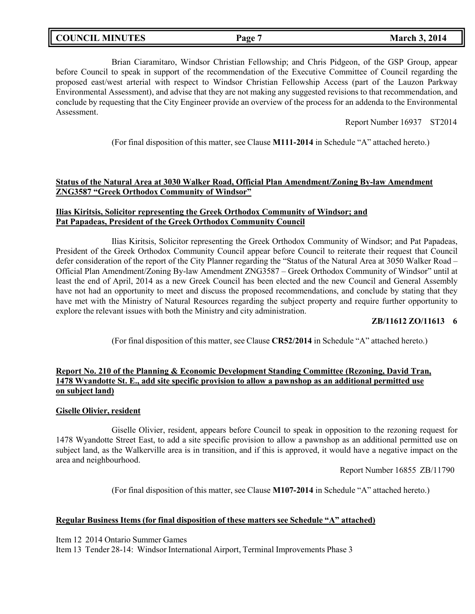Brian Ciaramitaro, Windsor Christian Fellowship; and Chris Pidgeon, of the GSP Group, appear before Council to speak in support of the recommendation of the Executive Committee of Council regarding the proposed east/west arterial with respect to Windsor Christian Fellowship Access (part of the Lauzon Parkway Environmental Assessment), and advise that they are not making any suggested revisions to that recommendation, and conclude by requesting that the City Engineer provide an overview of the process for an addenda to the Environmental Assessment.

Report Number 16937 ST2014

(For final disposition of this matter, see Clause **M111-2014** in Schedule "A" attached hereto.)

### **Status of the Natural Area at 3030 Walker Road, Official Plan Amendment/Zoning By-law Amendment ZNG3587 "Greek Orthodox Community of Windsor"**

## **Ilias Kiritsis, Solicitor representing the Greek Orthodox Community of Windsor; and Pat Papadeas, President of the Greek Orthodox Community Council**

Ilias Kiritsis, Solicitor representing the Greek Orthodox Community of Windsor; and Pat Papadeas, President of the Greek Orthodox Community Council appear before Council to reiterate their request that Council defer consideration of the report of the City Planner regarding the "Status of the Natural Area at 3050 Walker Road – Official Plan Amendment/Zoning By-law Amendment ZNG3587 – Greek Orthodox Community of Windsor" until at least the end of April, 2014 as a new Greek Council has been elected and the new Council and General Assembly have not had an opportunity to meet and discuss the proposed recommendations, and conclude by stating that they have met with the Ministry of Natural Resources regarding the subject property and require further opportunity to explore the relevant issues with both the Ministry and city administration.

### **ZB/11612 ZO/11613 6**

(For final disposition of this matter, see Clause **CR52/2014** in Schedule "A" attached hereto.)

### **Report No. 210 of the Planning & Economic Development Standing Committee (Rezoning, David Tran, 1478 Wyandotte St. E., add site specific provision to allow a pawnshop as an additional permitted use on subject land)**

#### **Giselle Olivier, resident**

Giselle Olivier, resident, appears before Council to speak in opposition to the rezoning request for 1478 Wyandotte Street East, to add a site specific provision to allow a pawnshop as an additional permitted use on subject land, as the Walkerville area is in transition, and if this is approved, it would have a negative impact on the area and neighbourhood.

Report Number 16855 ZB/11790

(For final disposition of this matter, see Clause **M107-2014** in Schedule "A" attached hereto.)

### **Regular Business Items (for final disposition of these matters see Schedule "A" attached)**

Item 12 2014 Ontario Summer Games

Item 13 Tender 28-14: Windsor International Airport, Terminal Improvements Phase 3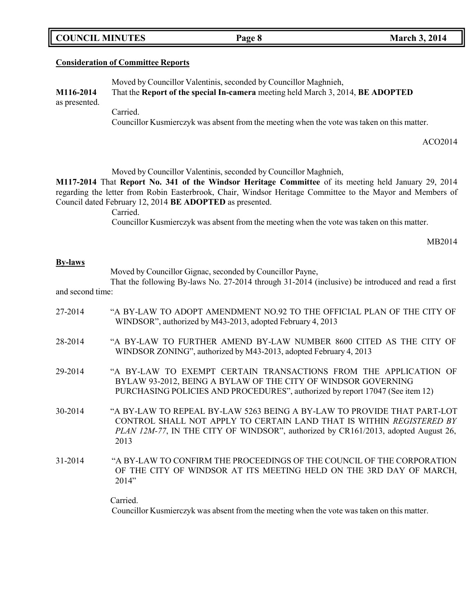|  | <b>COUNCIL MINUTES</b> |
|--|------------------------|
|--|------------------------|

### **Consideration of Committee Reports**

Moved by Councillor Valentinis, seconded by Councillor Maghnieh, **M116-2014** That the **Report of the special In-camera** meeting held March 3, 2014, **BE ADOPTED** as presented.

Carried.

Councillor Kusmierczyk was absent from the meeting when the vote was taken on this matter.

**COUNCIL <b>EXECUTE: COUNCIL <b>EXECUTE: COUNCIL 2014** 

ACO2014

Moved by Councillor Valentinis, seconded by Councillor Maghnieh,

**M117-2014** That **Report No. 341 of the Windsor Heritage Committee** of its meeting held January 29, 2014 regarding the letter from Robin Easterbrook, Chair, Windsor Heritage Committee to the Mayor and Members of Council dated February 12, 2014 **BE ADOPTED** as presented.

Carried.

Councillor Kusmierczyk was absent from the meeting when the vote was taken on this matter.

MB2014

#### **By-laws**

Moved by Councillor Gignac, seconded by Councillor Payne,

That the following By-laws No. 27-2014 through 31-2014 (inclusive) be introduced and read a first and second time:

- 27-2014 "A BY-LAW TO ADOPT AMENDMENT NO.92 TO THE OFFICIAL PLAN OF THE CITY OF WINDSOR", authorized by M43-2013, adopted February 4, 2013
- 28-2014 "A BY-LAW TO FURTHER AMEND BY-LAW NUMBER 8600 CITED AS THE CITY OF WINDSOR ZONING", authorized by M43-2013, adopted February 4, 2013
- 29-2014 "A BY-LAW TO EXEMPT CERTAIN TRANSACTIONS FROM THE APPLICATION OF BYLAW 93-2012, BEING A BYLAW OF THE CITY OF WINDSOR GOVERNING PURCHASING POLICIES AND PROCEDURES", authorized by report 17047 (See item 12)
- 30-2014 "A BY-LAW TO REPEAL BY-LAW 5263 BEING A BY-LAW TO PROVIDE THAT PART-LOT CONTROL SHALL NOT APPLY TO CERTAIN LAND THAT IS WITHIN *REGISTERED BY PLAN 12M-77*, IN THE CITY OF WINDSOR", authorized by CR161/2013, adopted August 26, 2013
- 31-2014 "A BY-LAW TO CONFIRM THE PROCEEDINGS OF THE COUNCIL OF THE CORPORATION OF THE CITY OF WINDSOR AT ITS MEETING HELD ON THE 3RD DAY OF MARCH, 2014"

Carried.

Councillor Kusmierczyk was absent from the meeting when the vote was taken on this matter.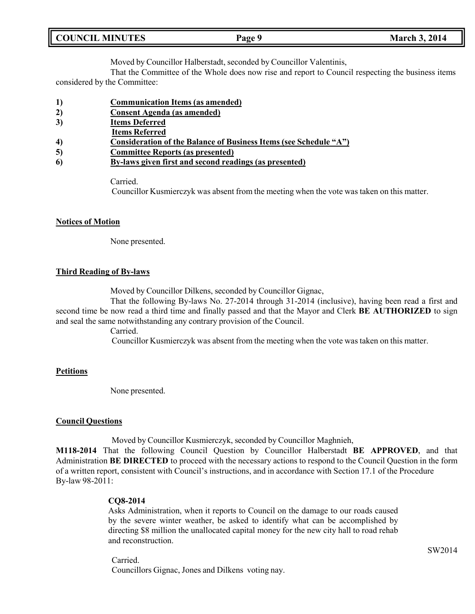| <b>COUNCIL MINUTES</b> |  |
|------------------------|--|
|                        |  |

Moved by Councillor Halberstadt, seconded by Councillor Valentinis,

That the Committee of the Whole does now rise and report to Council respecting the business items considered by the Committee:

- **1) Communication Items (as amended)**
- **2) Consent Agenda (as amended)**
- **3) Items Deferred**
- **Items Referred**
- **4) Consideration of the Balance of Business Items (see Schedule "A")**
- **5) Committee Reports (as presented)**
- **6) By-laws given first and second readings (as presented)**

Carried.

Councillor Kusmierczyk was absent from the meeting when the vote was taken on this matter.

## **Notices of Motion**

None presented.

## **Third Reading of By-laws**

Moved by Councillor Dilkens, seconded by Councillor Gignac,

That the following By-laws No. 27-2014 through 31-2014 (inclusive), having been read a first and second time be now read a third time and finally passed and that the Mayor and Clerk **BE AUTHORIZED** to sign and seal the same notwithstanding any contrary provision of the Council.

Carried.

Councillor Kusmierczyk was absent from the meeting when the vote was taken on this matter.

### **Petitions**

None presented.

### **Council Questions**

Moved by Councillor Kusmierczyk, seconded by Councillor Maghnieh,

**M118-2014** That the following Council Question by Councillor Halberstadt **BE APPROVED**, and that Administration **BE DIRECTED** to proceed with the necessary actions to respond to the Council Question in the form of a written report, consistent with Council's instructions, and in accordance with Section 17.1 of the Procedure By-law 98-2011:

### **CQ8-2014**

Asks Administration, when it reports to Council on the damage to our roads caused by the severe winter weather, be asked to identify what can be accomplished by directing \$8 million the unallocated capital money for the new city hall to road rehab and reconstruction.

Carried. Councillors Gignac, Jones and Dilkens voting nay.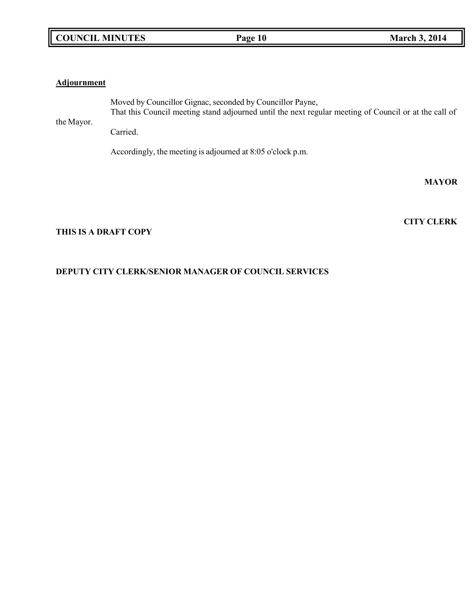## **COUNCIL MINUTES Page 10 March 3, 2014**

### **Adjournment**

the Mayor. Moved by Councillor Gignac, seconded by Councillor Payne, That this Council meeting stand adjourned until the next regular meeting of Council or at the call of Carried.

Accordingly, the meeting is adjourned at 8:05 o'clock p.m.

**MAYOR**

**CITY CLERK**

## **THIS IS A DRAFT COPY**

## **DEPUTY CITY CLERK/SENIOR MANAGER OF COUNCIL SERVICES**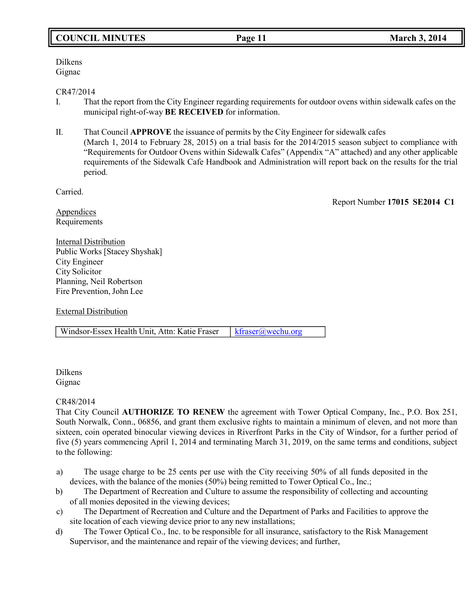# **COUNCIL MINUTES Page 11 March 3, 2014**

#### Dilkens Gignac

### CR47/2014

- I. That the report from the City Engineer regarding requirements for outdoor ovens within sidewalk cafes on the municipal right-of-way **BE RECEIVED** for information.
- II. That Council **APPROVE** the issuance of permits by the City Engineer for sidewalk cafes (March 1, 2014 to February 28, 2015) on a trial basis for the 2014/2015 season subject to compliance with "Requirements for Outdoor Ovens within Sidewalk Cafes" (Appendix "A" attached) and any other applicable requirements of the Sidewalk Cafe Handbook and Administration will report back on the results for the trial period.

Carried.

Report Number **17015 SE2014 C1**

Appendices Requirements

**Internal Distribution** Public Works [Stacey Shyshak] City Engineer City Solicitor Planning, Neil Robertson Fire Prevention, John Lee

External Distribution

Windsor-Essex Health Unit, Attn: Katie Fraser | [kfraser@wechu.org](mailto:kfraser@wechu.org)

Dilkens Gignac

## CR48/2014

That City Council **AUTHORIZE TO RENEW** the agreement with Tower Optical Company, Inc., P.O. Box 251, South Norwalk, Conn., 06856, and grant them exclusive rights to maintain a minimum of eleven, and not more than sixteen, coin operated binocular viewing devices in Riverfront Parks in the City of Windsor, for a further period of five (5) years commencing April 1, 2014 and terminating March 31, 2019, on the same terms and conditions, subject to the following:

- a) The usage charge to be 25 cents per use with the City receiving 50% of all funds deposited in the devices, with the balance of the monies (50%) being remitted to Tower Optical Co., Inc.;
- b) The Department of Recreation and Culture to assume the responsibility of collecting and accounting of all monies deposited in the viewing devices;
- c) The Department of Recreation and Culture and the Department of Parks and Facilities to approve the site location of each viewing device prior to any new installations;
- d) The Tower Optical Co., Inc. to be responsible for all insurance, satisfactory to the Risk Management Supervisor, and the maintenance and repair of the viewing devices; and further,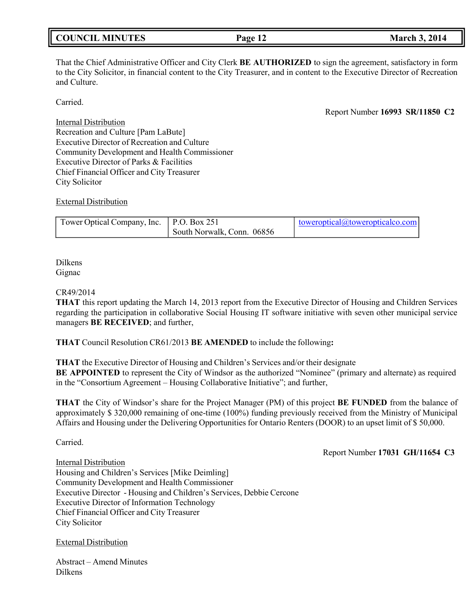| <b>COUNCIL MINUTES</b> | Page 1 | . 2014<br>March 3. |
|------------------------|--------|--------------------|
|                        |        |                    |

That the Chief Administrative Officer and City Clerk **BE AUTHORIZED** to sign the agreement, satisfactory in form to the City Solicitor, in financial content to the City Treasurer, and in content to the Executive Director of Recreation and Culture.

#### Carried.

Report Number **16993 SR/11850 C2**

Internal Distribution Recreation and Culture [Pam LaBute] Executive Director of Recreation and Culture Community Development and Health Commissioner Executive Director of Parks & Facilities Chief Financial Officer and City Treasurer City Solicitor

### External Distribution

| Tower Optical Company, Inc.   P.O. Box 251 |                            | toweroptical@toweropticalco.com |
|--------------------------------------------|----------------------------|---------------------------------|
|                                            | South Norwalk, Conn. 06856 |                                 |

Dilkens Gignac

#### CR49/2014

**THAT** this report updating the March 14, 2013 report from the Executive Director of Housing and Children Services regarding the participation in collaborative Social Housing IT software initiative with seven other municipal service managers **BE RECEIVED**; and further,

**THAT** Council Resolution CR61/2013 **BE AMENDED** to include the following**:**

**THAT** the Executive Director of Housing and Children's Services and/or their designate **BE APPOINTED** to represent the City of Windsor as the authorized "Nominee" (primary and alternate) as required in the "Consortium Agreement – Housing Collaborative Initiative"; and further,

**THAT** the City of Windsor's share for the Project Manager (PM) of this project **BE FUNDED** from the balance of approximately \$ 320,000 remaining of one-time (100%) funding previously received from the Ministry of Municipal Affairs and Housing under the Delivering Opportunities for Ontario Renters (DOOR) to an upset limit of \$ 50,000.

Carried.

Report Number **17031 GH/11654 C3**

Internal Distribution Housing and Children's Services [Mike Deimling] Community Development and Health Commissioner Executive Director - Housing and Children's Services, Debbie Cercone Executive Director of Information Technology Chief Financial Officer and City Treasurer City Solicitor

External Distribution

Abstract – Amend Minutes Dilkens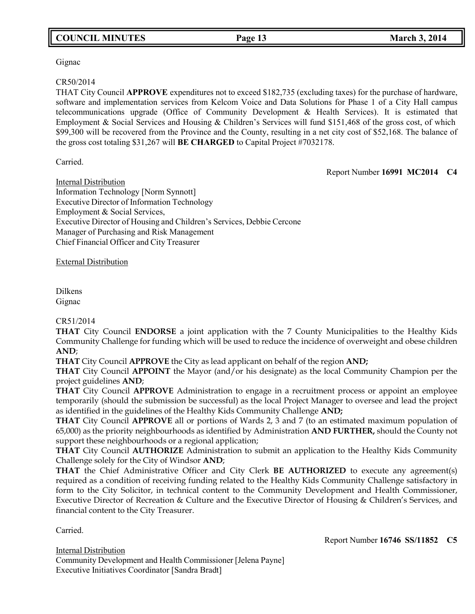# **COUNCIL MINUTES Page 13 March 3, 2014**

### Gignac

#### CR50/2014

THAT City Council **APPROVE** expenditures not to exceed \$182,735 (excluding taxes) for the purchase of hardware, software and implementation services from Kelcom Voice and Data Solutions for Phase 1 of a City Hall campus telecommunications upgrade (Office of Community Development & Health Services). It is estimated that Employment & Social Services and Housing & Children's Services will fund \$151,468 of the gross cost, of which \$99,300 will be recovered from the Province and the County, resulting in a net city cost of \$52,168. The balance of the gross cost totaling \$31,267 will **BE CHARGED** to Capital Project #7032178.

Carried.

Report Number **16991 MC2014 C4**

Internal Distribution Information Technology [Norm Synnott] Executive Director of Information Technology Employment & Social Services, Executive Director of Housing and Children's Services, Debbie Cercone Manager of Purchasing and Risk Management Chief Financial Officer and City Treasurer

External Distribution

Dilkens Gignac

### CR51/2014

**THAT** City Council **ENDORSE** a joint application with the 7 County Municipalities to the Healthy Kids Community Challenge for funding which will be used to reduce the incidence of overweight and obese children **AND**;

**THAT** City Council **APPROVE** the City as lead applicant on behalf of the region **AND;**

**THAT** City Council **APPOINT** the Mayor (and/or his designate) as the local Community Champion per the project guidelines **AND**;

**THAT** City Council **APPROVE** Administration to engage in a recruitment process or appoint an employee temporarily (should the submission be successful) as the local Project Manager to oversee and lead the project as identified in the guidelines of the Healthy Kids Community Challenge **AND;**

**THAT** City Council **APPROVE** all or portions of Wards 2, 3 and 7 (to an estimated maximum population of 65,000) as the priority neighbourhoods as identified by Administration **AND FURTHER,** should the County not support these neighbourhoods or a regional application;

**THAT** City Council **AUTHORIZE** Administration to submit an application to the Healthy Kids Community Challenge solely for the City of Windsor **AND**;

**THAT** the Chief Administrative Officer and City Clerk **BE AUTHORIZED** to execute any agreement(s) required as a condition of receiving funding related to the Healthy Kids Community Challenge satisfactory in form to the City Solicitor, in technical content to the Community Development and Health Commissioner, Executive Director of Recreation & Culture and the Executive Director of Housing & Children's Services, and financial content to the City Treasurer.

Carried.

Report Number **16746 SS/11852 C5**

Internal Distribution Community Development and Health Commissioner [Jelena Payne] Executive Initiatives Coordinator [Sandra Bradt]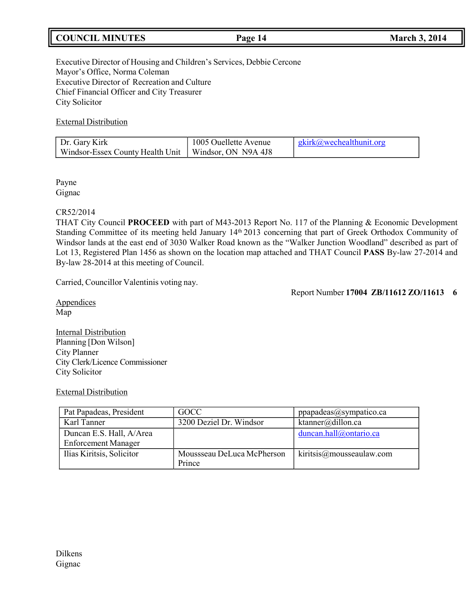# **COUNCIL MINUTES Page 14 March 3, 2014**

Executive Director of Housing and Children's Services, Debbie Cercone Mayor's Office, Norma Coleman Executive Director of Recreation and Culture Chief Financial Officer and City Treasurer City Solicitor

External Distribution

| Dr. Gary Kirk                                          | 1005 Ouellette Avenue | $gkirk@$ we cheal thun it. or $g$ |
|--------------------------------------------------------|-----------------------|-----------------------------------|
| Windsor-Essex County Health Unit   Windsor, ON N9A 4J8 |                       |                                   |

Payne Gignac

#### CR52/2014

THAT City Council **PROCEED** with part of M43-2013 Report No. 117 of the Planning & Economic Development Standing Committee of its meeting held January 14<sup>th</sup> 2013 concerning that part of Greek Orthodox Community of Windsor lands at the east end of 3030 Walker Road known as the "Walker Junction Woodland" described as part of Lot 13, Registered Plan 1456 as shown on the location map attached and THAT Council **PASS** By-law 27-2014 and By-law 28-2014 at this meeting of Council.

Carried, Councillor Valentinis voting nay.

Report Number **17004 ZB/11612 ZO/11613 6**

**Appendices** Map

Internal Distribution Planning [Don Wilson] City Planner City Clerk/Licence Commissioner City Solicitor

### External Distribution

| Pat Papadeas, President                                | GOCC                                 | ppapadeas@sympatico.ca  |
|--------------------------------------------------------|--------------------------------------|-------------------------|
| Karl Tanner                                            | 3200 Deziel Dr. Windsor              | ktanner@dillon.ca       |
| Duncan E.S. Hall, A/Area<br><b>Enforcement Manager</b> |                                      | duncan.hall@ontario.ca  |
| Ilias Kiritsis, Solicitor                              | Moussseau DeLuca McPherson<br>Prince | kiritsis@masseaulaw.com |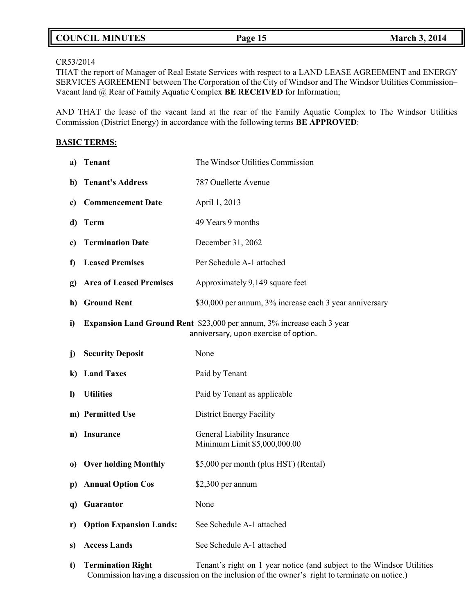| <b>COUNCIL MINUTES</b><br><b>March 3, 2014</b><br>Page 15 |  |
|-----------------------------------------------------------|--|
|-----------------------------------------------------------|--|

### CR53/2014

THAT the report of Manager of Real Estate Services with respect to a LAND LEASE AGREEMENT and ENERGY SERVICES AGREEMENT between The Corporation of the City of Windsor and The Windsor Utilities Commission– Vacant land @ Rear of Family Aquatic Complex **BE RECEIVED** for Information;

AND THAT the lease of the vacant land at the rear of the Family Aquatic Complex to The Windsor Utilities Commission (District Energy) in accordance with the following terms **BE APPROVED**:

#### **BASIC TERMS:**

| a)           | <b>Tenant</b>                  | The Windsor Utilities Commission                                                                                |  |
|--------------|--------------------------------|-----------------------------------------------------------------------------------------------------------------|--|
| b)           | <b>Tenant's Address</b>        | 787 Ouellette Avenue                                                                                            |  |
| c)           | <b>Commencement Date</b>       | April 1, 2013                                                                                                   |  |
| d)           | <b>Term</b>                    | 49 Years 9 months                                                                                               |  |
| e)           | <b>Termination Date</b>        | December 31, 2062                                                                                               |  |
| $\mathbf f$  | <b>Leased Premises</b>         | Per Schedule A-1 attached                                                                                       |  |
| g)           | <b>Area of Leased Premises</b> | Approximately 9,149 square feet                                                                                 |  |
| h)           | <b>Ground Rent</b>             | \$30,000 per annum, 3% increase each 3 year anniversary                                                         |  |
| i)           |                                | Expansion Land Ground Rent \$23,000 per annum, 3% increase each 3 year<br>anniversary, upon exercise of option. |  |
| j)           | <b>Security Deposit</b>        | None                                                                                                            |  |
| k)           | <b>Land Taxes</b>              | Paid by Tenant                                                                                                  |  |
| $\bf{l}$     | <b>Utilities</b>               | Paid by Tenant as applicable                                                                                    |  |
|              | m) Permitted Use               | District Energy Facility                                                                                        |  |
| n)           | <b>Insurance</b>               | General Liability Insurance<br>Minimum Limit \$5,000,000.00                                                     |  |
| $\bf{0}$     | <b>Over holding Monthly</b>    | \$5,000 per month (plus HST) (Rental)                                                                           |  |
| $\mathbf{p}$ | <b>Annual Option Cos</b>       | $$2,300$ per annum                                                                                              |  |
|              | q) Guarantor                   | None                                                                                                            |  |
| r)           | <b>Option Expansion Lands:</b> | See Schedule A-1 attached                                                                                       |  |
| s)           | <b>Access Lands</b>            | See Schedule A-1 attached                                                                                       |  |
| t)           | <b>Termination Right</b>       | Tenant's right on 1 year notice (and subject to the Windsor Utilities                                           |  |

Commission having a discussion on the inclusion of the owner's right to terminate on notice.)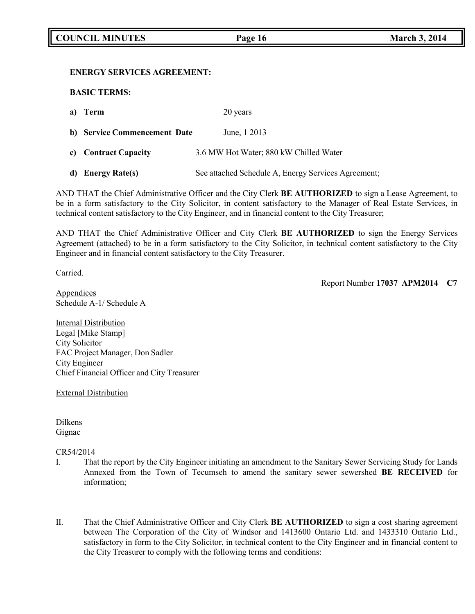#### **ENERGY SERVICES AGREEMENT:**

**BASIC TERMS:**

| a) Term                      | 20 years                                            |
|------------------------------|-----------------------------------------------------|
| b) Service Commencement Date | June, 1 2013                                        |
| c) Contract Capacity         | 3.6 MW Hot Water; 880 kW Chilled Water              |
| d) Energy Rate(s)            | See attached Schedule A, Energy Services Agreement; |

AND THAT the Chief Administrative Officer and the City Clerk **BE AUTHORIZED** to sign a Lease Agreement, to be in a form satisfactory to the City Solicitor, in content satisfactory to the Manager of Real Estate Services, in technical content satisfactory to the City Engineer, and in financial content to the City Treasurer;

AND THAT the Chief Administrative Officer and City Clerk **BE AUTHORIZED** to sign the Energy Services Agreement (attached) to be in a form satisfactory to the City Solicitor, in technical content satisfactory to the City Engineer and in financial content satisfactory to the City Treasurer.

Carried.

Report Number **17037 APM2014 C7**

**Appendices** Schedule A-1/ Schedule A

Internal Distribution Legal [Mike Stamp] City Solicitor FAC Project Manager, Don Sadler City Engineer Chief Financial Officer and City Treasurer

External Distribution

Dilkens Gignac

CR54/2014

- I. That the report by the City Engineer initiating an amendment to the Sanitary Sewer Servicing Study for Lands Annexed from the Town of Tecumseh to amend the sanitary sewer sewershed **BE RECEIVED** for information;
- II. That the Chief Administrative Officer and City Clerk **BE AUTHORIZED** to sign a cost sharing agreement between The Corporation of the City of Windsor and 1413600 Ontario Ltd. and 1433310 Ontario Ltd., satisfactory in form to the City Solicitor, in technical content to the City Engineer and in financial content to the City Treasurer to comply with the following terms and conditions: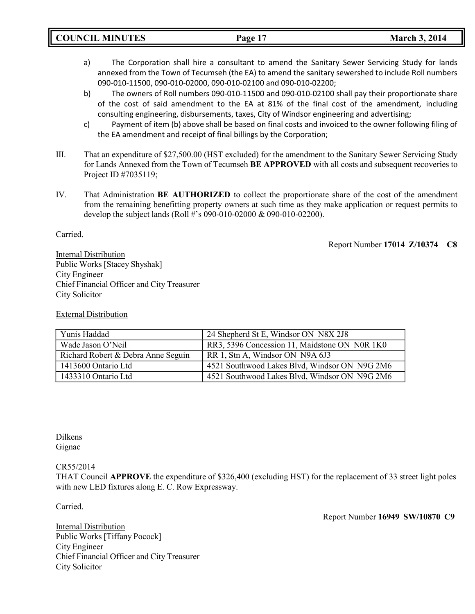- a) The Corporation shall hire a consultant to amend the Sanitary Sewer Servicing Study for lands annexed from the Town of Tecumseh (the EA) to amend the sanitary sewershed to include Roll numbers 090-010-11500, 090-010-02000, 090-010-02100 and 090-010-02200;
- b) The owners of Roll numbers 090-010-11500 and 090-010-02100 shall pay their proportionate share of the cost of said amendment to the EA at 81% of the final cost of the amendment, including consulting engineering, disbursements, taxes, City of Windsor engineering and advertising;
- c) Payment of item (b) above shall be based on final costs and invoiced to the owner following filing of the EA amendment and receipt of final billings by the Corporation;
- III. That an expenditure of \$27,500.00 (HST excluded) for the amendment to the Sanitary Sewer Servicing Study for Lands Annexed from the Town of Tecumseh **BE APPROVED** with all costs and subsequent recoveries to Project ID #7035119;
- IV. That Administration **BE AUTHORIZED** to collect the proportionate share of the cost of the amendment from the remaining benefitting property owners at such time as they make application or request permits to develop the subject lands (Roll #'s 090-010-02000 & 090-010-02200).

Carried.

Report Number **17014 Z/10374 C8**

Internal Distribution Public Works [Stacey Shyshak] City Engineer Chief Financial Officer and City Treasurer City Solicitor

External Distribution

| Yunis Haddad                       | 24 Shepherd St E, Windsor ON N8X 2J8          |
|------------------------------------|-----------------------------------------------|
| Wade Jason O'Neil                  | RR3, 5396 Concession 11, Maidstone ON N0R 1K0 |
| Richard Robert & Debra Anne Seguin | RR 1, Stn A, Windsor ON N9A 6J3               |
| 1413600 Ontario Ltd                | 4521 Southwood Lakes Blvd, Windsor ON N9G 2M6 |
| 1433310 Ontario Ltd                | 4521 Southwood Lakes Blvd, Windsor ON N9G 2M6 |

Dilkens Gignac

CR55/2014

THAT Council **APPROVE** the expenditure of \$326,400 (excluding HST) for the replacement of 33 street light poles with new LED fixtures along E. C. Row Expressway.

Carried.

Report Number **16949 SW/10870 C9**

Internal Distribution Public Works [Tiffany Pocock] City Engineer Chief Financial Officer and City Treasurer City Solicitor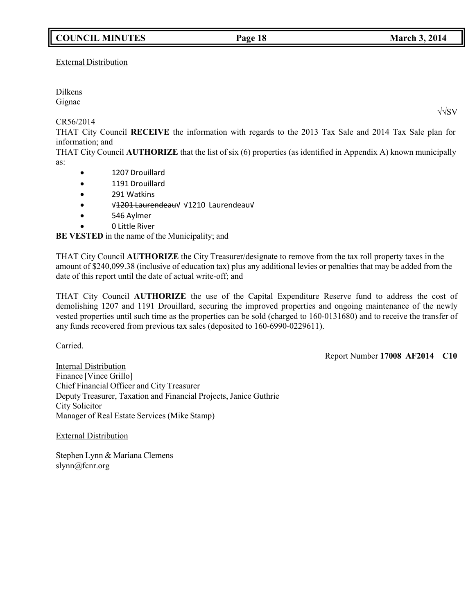# **COUNCIL MINUTES Page 18 March 3, 2014**

External Distribution

Dilkens Gignac

CR56/2014

THAT City Council **RECEIVE** the information with regards to the 2013 Tax Sale and 2014 Tax Sale plan for information; and

THAT City Council **AUTHORIZE** that the list of six (6) properties (as identified in Appendix A) known municipally as:

- 1207 Drouillard
- 1191 Drouillard
- 291 Watkins
- √1201 Laurendeau√ √1210 Laurendeau√
- 546 Aylmer
- 0 Little River

**BE VESTED** in the name of the Municipality; and

THAT City Council **AUTHORIZE** the City Treasurer/designate to remove from the tax roll property taxes in the amount of \$240,099.38 (inclusive of education tax) plus any additional levies or penalties that may be added from the date of this report until the date of actual write-off; and

THAT City Council **AUTHORIZE** the use of the Capital Expenditure Reserve fund to address the cost of demolishing 1207 and 1191 Drouillard, securing the improved properties and ongoing maintenance of the newly vested properties until such time as the properties can be sold (charged to 160-0131680) and to receive the transfer of any funds recovered from previous tax sales (deposited to 160-6990-0229611).

Carried.

Report Number **17008 AF2014 C10**

Internal Distribution Finance [Vince Grillo] Chief Financial Officer and City Treasurer Deputy Treasurer, Taxation and Financial Projects, Janice Guthrie City Solicitor Manager of Real Estate Services (Mike Stamp)

External Distribution

Stephen Lynn & Mariana Clemens [slynn@fcnr.org](mailto:slynn@fcnr.org)

√√SV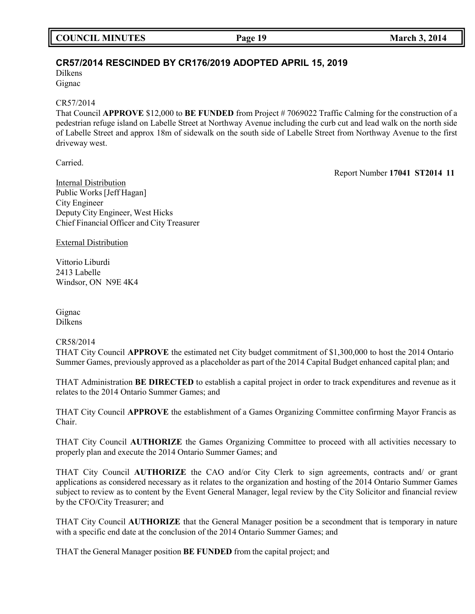# **CR57/2014 RESCINDED BY CR176/2019 ADOPTED APRIL 15, 2019**

Dilkens Gignac

#### CR57/2014

That Council **APPROVE** \$12,000 to **BE FUNDED** from Project # 7069022 Traffic Calming for the construction of a pedestrian refuge island on Labelle Street at Northway Avenue including the curb cut and lead walk on the north side of Labelle Street and approx 18m of sidewalk on the south side of Labelle Street from Northway Avenue to the first driveway west.

Carried.

Report Number **17041 ST2014 11**

Internal Distribution Public Works [Jeff Hagan] City Engineer Deputy City Engineer, West Hicks Chief Financial Officer and City Treasurer

External Distribution

Vittorio Liburdi 2413 Labelle Windsor, ON N9E 4K4

Gignac Dilkens

### CR58/2014

THAT City Council **APPROVE** the estimated net City budget commitment of \$1,300,000 to host the 2014 Ontario Summer Games, previously approved as a placeholder as part of the 2014 Capital Budget enhanced capital plan; and

THAT Administration **BE DIRECTED** to establish a capital project in order to track expenditures and revenue as it relates to the 2014 Ontario Summer Games; and

THAT City Council **APPROVE** the establishment of a Games Organizing Committee confirming Mayor Francis as Chair.

THAT City Council **AUTHORIZE** the Games Organizing Committee to proceed with all activities necessary to properly plan and execute the 2014 Ontario Summer Games; and

THAT City Council **AUTHORIZE** the CAO and/or City Clerk to sign agreements, contracts and/ or grant applications as considered necessary as it relates to the organization and hosting of the 2014 Ontario Summer Games subject to review as to content by the Event General Manager, legal review by the City Solicitor and financial review by the CFO/City Treasurer; and

THAT City Council **AUTHORIZE** that the General Manager position be a secondment that is temporary in nature with a specific end date at the conclusion of the 2014 Ontario Summer Games; and

THAT the General Manager position **BE FUNDED** from the capital project; and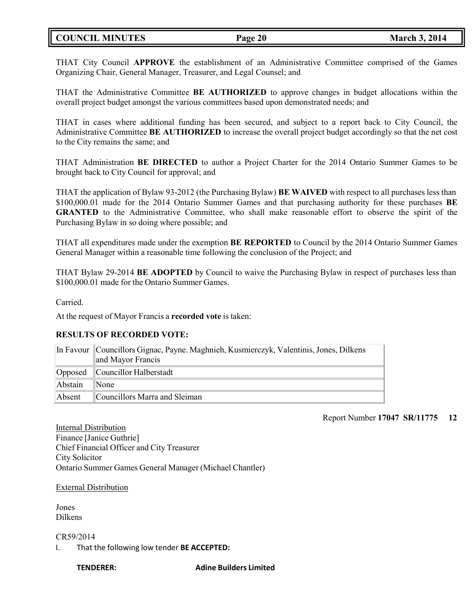## **COUNCIL MINUTES Page 20 March 3, 2014**

THAT City Council **APPROVE** the establishment of an Administrative Committee comprised of the Games Organizing Chair, General Manager, Treasurer, and Legal Counsel; and

THAT the Administrative Committee **BE AUTHORIZED** to approve changes in budget allocations within the overall project budget amongst the various committees based upon demonstrated needs; and

THAT in cases where additional funding has been secured, and subject to a report back to City Council, the Administrative Committee **BE AUTHORIZED** to increase the overall project budget accordingly so that the net cost to the City remains the same; and

THAT Administration **BE DIRECTED** to author a Project Charter for the 2014 Ontario Summer Games to be brought back to City Council for approval; and

THAT the application of Bylaw 93-2012 (the Purchasing Bylaw) **BE WAIVED** with respect to all purchases less than \$100,000.01 made for the 2014 Ontario Summer Games and that purchasing authority for these purchases **BE GRANTED** to the Administrative Committee, who shall make reasonable effort to observe the spirit of the Purchasing Bylaw in so doing where possible; and

THAT all expenditures made under the exemption **BE REPORTED** to Council by the 2014 Ontario Summer Games General Manager within a reasonable time following the conclusion of the Project; and

THAT Bylaw 29-2014 **BE ADOPTED** by Council to waive the Purchasing Bylaw in respect of purchases less than \$100,000.01 made for the Ontario Summer Games.

Carried.

At the request of Mayor Francis a **recorded vote** is taken:

### **RESULTS OF RECORDED VOTE:**

|         | In Favour   Councillors Gignac, Payne. Maghnieh, Kusmierczyk, Valentinis, Jones, Dilkens |  |  |
|---------|------------------------------------------------------------------------------------------|--|--|
|         | and Mayor Francis                                                                        |  |  |
|         | Opposed Councillor Halberstadt                                                           |  |  |
| Abstain | $\mathbb{N}$ one                                                                         |  |  |
| Absent  | Councillors Marra and Sleiman                                                            |  |  |

Report Number **17047 SR/11775 12**

Internal Distribution Finance [Janice Guthrie] Chief Financial Officer and City Treasurer City Solicitor Ontario Summer Games General Manager (Michael Chantler)

#### External Distribution

Jones Dilkens

#### CR59/2014

I. That the following low tender **BE ACCEPTED:**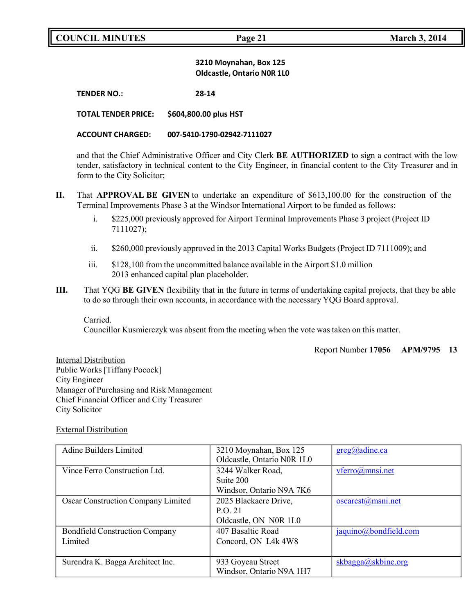#### **3210 Moynahan, Box 125 Oldcastle, Ontario N0R 1L0**

**TENDER NO.: 28-14**

**TOTAL TENDER PRICE: \$604,800.00 plus HST**

#### **ACCOUNT CHARGED: 007-5410-1790-02942-7111027**

and that the Chief Administrative Officer and City Clerk **BE AUTHORIZED** to sign a contract with the low tender, satisfactory in technical content to the City Engineer, in financial content to the City Treasurer and in form to the City Solicitor;

- **II.** That **APPROVAL BE GIVEN** to undertake an expenditure of \$613,100.00 for the construction of the Terminal Improvements Phase 3 at the Windsor International Airport to be funded as follows:
	- i. \$225,000 previously approved for Airport Terminal Improvements Phase 3 project (Project ID 7111027);
	- ii. \$260,000 previously approved in the 2013 Capital Works Budgets (Project ID 7111009); and
	- iii. \$128,100 from the uncommitted balance available in the Airport \$1.0 million 2013 enhanced capital plan placeholder.
- **III.** That YQG **BE GIVEN** flexibility that in the future in terms of undertaking capital projects, that they be able to do so through their own accounts, in accordance with the necessary YQG Board approval.

Carried. Councillor Kusmierczyk was absent from the meeting when the vote was taken on this matter.

Report Number **17056 APM/9795 13**

Internal Distribution Public Works [Tiffany Pocock] City Engineer Manager of Purchasing and Risk Management Chief Financial Officer and City Treasurer City Solicitor

#### External Distribution

| Adine Builders Limited                | 3210 Moynahan, Box 125     | $greg(\hat{\theta})$ adine.ca |
|---------------------------------------|----------------------------|-------------------------------|
|                                       | Oldcastle, Ontario N0R 1L0 |                               |
| Vince Ferro Construction Ltd.         | 3244 Walker Road,          | $vferro(a)$ mnsi.net          |
|                                       | Suite 200                  |                               |
|                                       | Windsor, Ontario N9A 7K6   |                               |
| Oscar Construction Company Limited    | 2025 Blackacre Drive,      | $oscarcst(a)$ msni.net        |
|                                       | P.O. 21                    |                               |
|                                       | Oldcastle, ON N0R 1L0      |                               |
| <b>Bondfield Construction Company</b> | 407 Basaltic Road          | jaquino@bondfield.com         |
| Limited                               | Concord, ON L4k 4W8        |                               |
|                                       |                            |                               |
| Surendra K. Bagga Architect Inc.      | 933 Goyeau Street          | skbagga(a)skbinc.org          |
|                                       | Windsor, Ontario N9A 1H7   |                               |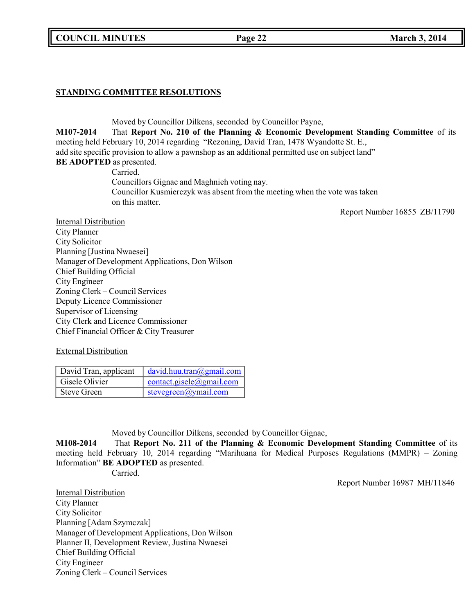**COUNCIL MINUTES Page 22 March 3, 2014**

## **STANDING COMMITTEE RESOLUTIONS**

Moved by Councillor Dilkens, seconded by Councillor Payne, **M107-2014** That **Report No. 210 of the Planning & Economic Development Standing Committee** of its meeting held February 10, 2014 regarding "Rezoning, David Tran, 1478 Wyandotte St. E., add site specific provision to allow a pawnshop as an additional permitted use on subject land" **BE ADOPTED** as presented. Carried. Councillors Gignac and Maghnieh voting nay. Councillor Kusmierczyk was absent from the meeting when the vote was taken on this matter. Report Number 16855 ZB/11790 Internal Distribution City Planner

City Solicitor Planning [Justina Nwaesei] Manager of Development Applications, Don Wilson Chief Building Official City Engineer Zoning Clerk – Council Services Deputy Licence Commissioner Supervisor of Licensing City Clerk and Licence Commissioner Chief Financial Officer & City Treasurer

External Distribution

| David Tran, applicant | david.huu.train@gmail.com   |
|-----------------------|-----------------------------|
| Gisele Olivier        | $contact, gisle$ @gmail.com |
| <b>Steve Green</b>    | stevegreen@ymail.com        |

Moved by Councillor Dilkens, seconded by Councillor Gignac,

**M108-2014** That **Report No. 211 of the Planning & Economic Development Standing Committee** of its meeting held February 10, 2014 regarding "Marihuana for Medical Purposes Regulations (MMPR) – Zoning Information" **BE ADOPTED** as presented.

Carried.

Report Number 16987 MH/11846

Internal Distribution City Planner City Solicitor Planning [Adam Szymczak] Manager of Development Applications, Don Wilson Planner II, Development Review, Justina Nwaesei Chief Building Official City Engineer Zoning Clerk – Council Services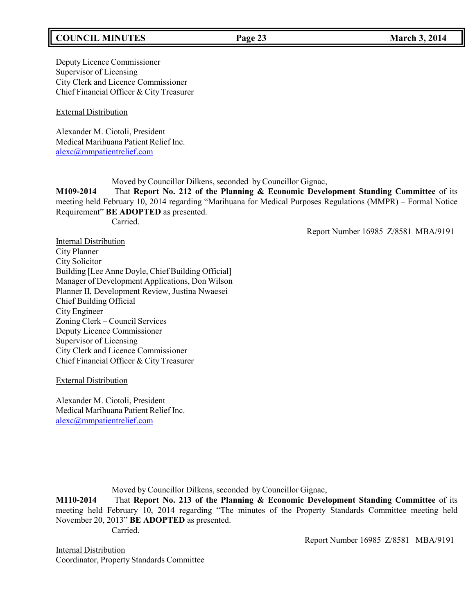## **COUNCIL MINUTES Page 23 March 3, 2014**

Deputy Licence Commissioner Supervisor of Licensing City Clerk and Licence Commissioner Chief Financial Officer & City Treasurer

External Distribution

Alexander M. Ciotoli, President Medical Marihuana Patient Relief Inc. [alexc@mmpatientrelief.com](mailto:alexc@mmpatientrelief.com)

Moved by Councillor Dilkens, seconded by Councillor Gignac,

**M109-2014** That **Report No. 212 of the Planning & Economic Development Standing Committee** of its meeting held February 10, 2014 regarding "Marihuana for Medical Purposes Regulations (MMPR) – Formal Notice Requirement" **BE ADOPTED** as presented. Carried.

Report Number 16985 Z/8581 MBA/9191

Internal Distribution City Planner City Solicitor Building [Lee Anne Doyle, Chief Building Official] Manager of Development Applications, Don Wilson Planner II, Development Review, Justina Nwaesei Chief Building Official City Engineer Zoning Clerk – Council Services Deputy Licence Commissioner Supervisor of Licensing City Clerk and Licence Commissioner Chief Financial Officer & City Treasurer

External Distribution

Alexander M. Ciotoli, President Medical Marihuana Patient Relief Inc. [alexc@mmpatientrelief.com](mailto:alexc@mmpatientrelief.com)

Moved by Councillor Dilkens, seconded by Councillor Gignac,

**M110-2014** That **Report No. 213 of the Planning & Economic Development Standing Committee** of its meeting held February 10, 2014 regarding "The minutes of the Property Standards Committee meeting held November 20, 2013" **BE ADOPTED** as presented. Carried.

Report Number 16985 Z/8581 MBA/9191

Internal Distribution Coordinator, Property Standards Committee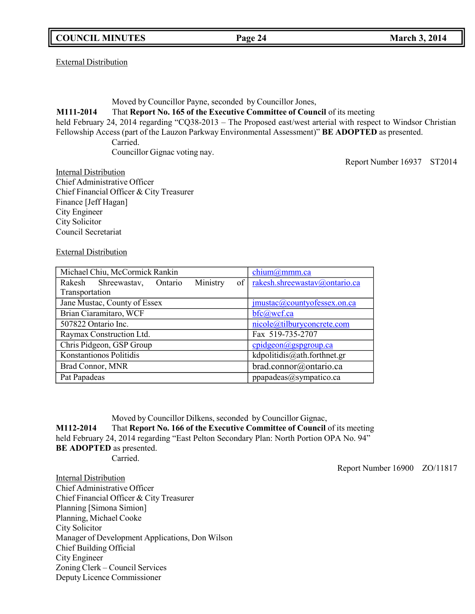External Distribution

Moved by Councillor Payne, seconded by Councillor Jones,

**M111-2014** That **Report No. 165 of the Executive Committee of Council** of its meeting

held February 24, 2014 regarding "CQ38-2013 – The Proposed east/west arterial with respect to Windsor Christian Fellowship Access (part of the Lauzon Parkway Environmental Assessment)" **BE ADOPTED** as presented.

Carried. Councillor Gignac voting nay.

Report Number 16937 ST2014

Internal Distribution Chief Administrative Officer Chief Financial Officer & City Treasurer Finance [Jeff Hagan] City Engineer City Solicitor Council Secretariat

External Distribution

| Michael Chiu, McCormick Rankin |                              |                        | chium@mmm.ca                |  |                                    |
|--------------------------------|------------------------------|------------------------|-----------------------------|--|------------------------------------|
| Rakesh                         | Shreewastav,                 | Ontario                | Ministry                    |  | of   rakesh.shreewastay@ontario.ca |
| Transportation                 |                              |                        |                             |  |                                    |
|                                | Jane Mustac, County of Essex |                        |                             |  | jmustac@countyofessex.on.ca        |
|                                | Brian Ciaramitaro, WCF       |                        |                             |  | $bfc(a)$ wcf.ca                    |
| 507822 Ontario Inc.            |                              |                        | nicole@tilburyconcrete.com  |  |                                    |
| Raymax Construction Ltd.       |                              |                        | Fax 519-735-2707            |  |                                    |
| Chris Pidgeon, GSP Group       |                              |                        | $cpidgeon(a)$ gspgroup.ca   |  |                                    |
| Konstantionos Politidis        |                              |                        | kdpolitidis@ath.forthnet.gr |  |                                    |
| Brad Connor, MNR               |                              | brad.connor@ontario.ca |                             |  |                                    |
| Pat Papadeas                   |                              |                        | ppapadeas@sympatico.ca      |  |                                    |

Moved by Councillor Dilkens, seconded by Councillor Gignac, **M112-2014** That **Report No. 166 of the Executive Committee of Council** of its meeting held February 24, 2014 regarding "East Pelton Secondary Plan: North Portion OPA No. 94" **BE ADOPTED** as presented. Carried.

Report Number 16900 ZO/11817

Internal Distribution Chief Administrative Officer Chief Financial Officer & City Treasurer Planning [Simona Simion] Planning, Michael Cooke City Solicitor Manager of Development Applications, Don Wilson Chief Building Official City Engineer Zoning Clerk – Council Services Deputy Licence Commissioner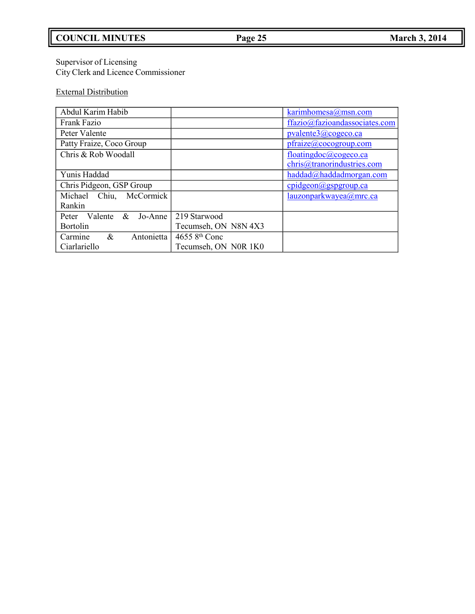# **COUNCIL MINUTES Page 25 March 3, 2014**

#### Supervisor of Licensing City Clerk and Licence Commissioner

# External Distribution

| Abdul Karim Habib            |                            | karimhomesa@msn.com              |
|------------------------------|----------------------------|----------------------------------|
| Frank Fazio                  |                            | ffazio@fazioandassociates.com    |
| Peter Valente                |                            | pvalente3@cogeco.ca              |
| Patty Fraize, Coco Group     |                            | pfraize@cocogroup.com            |
| Chris & Rob Woodall          |                            | floatingdoc@cogeco.ca            |
|                              |                            | chris@tranorindustries.com       |
| Yunis Haddad                 |                            | haddad@haddadmorgan.com          |
| Chris Pidgeon, GSP Group     |                            | $\text{cpidgeon}(a)$ gspgroup.ca |
| Michael Chiu, McCormick      |                            | lauzonparkwayea@mrc.ca           |
| Rankin                       |                            |                                  |
| Peter Valente<br>$&$ Jo-Anne | 219 Starwood               |                                  |
| <b>Bortolin</b>              | Tecumseh, ON N8N 4X3       |                                  |
| Antonietta<br>&<br>Carmine   | $46558$ <sup>th</sup> Conc |                                  |
| Ciarlariello                 | Tecumseh, ON N0R 1K0       |                                  |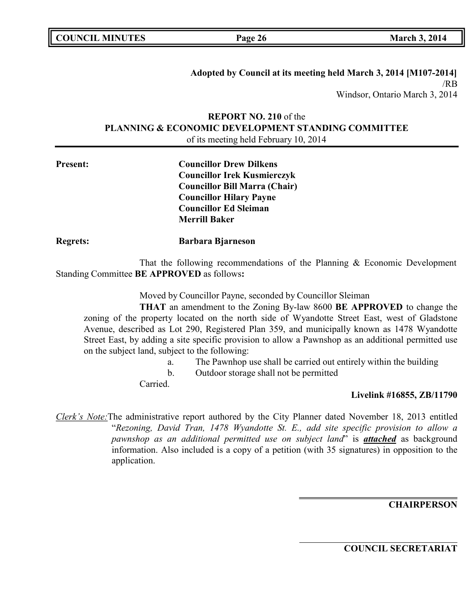| <b>COUNCIL MINUTES</b> |  |
|------------------------|--|
|------------------------|--|

**Adopted by Council at its meeting held March 3, 2014 [M107-2014]** /RB Windsor, Ontario March 3, 2014

## **REPORT NO. 210** of the **PLANNING & ECONOMIC DEVELOPMENT STANDING COMMITTEE** of its meeting held February 10, 2014

| <b>Present:</b> | <b>Councillor Drew Dilkens</b>       |  |
|-----------------|--------------------------------------|--|
|                 | <b>Councillor Irek Kusmierczyk</b>   |  |
|                 | <b>Councillor Bill Marra (Chair)</b> |  |
|                 | <b>Councillor Hilary Payne</b>       |  |
|                 | <b>Councillor Ed Sleiman</b>         |  |
|                 | <b>Merrill Baker</b>                 |  |

That the following recommendations of the Planning & Economic Development Standing Committee **BE APPROVED** as follows**:**

Moved by Councillor Payne, seconded by Councillor Sleiman

**THAT** an amendment to the Zoning By-law 8600 **BE APPROVED** to change the zoning of the property located on the north side of Wyandotte Street East, west of Gladstone Avenue, described as Lot 290, Registered Plan 359, and municipally known as 1478 Wyandotte Street East, by adding a site specific provision to allow a Pawnshop as an additional permitted use on the subject land, subject to the following:

- a. The Pawnhop use shall be carried out entirely within the building
- b. Outdoor storage shall not be permitted

Carried.

**Regrets: Barbara Bjarneson**

### **Livelink #16855, ZB/11790**

*Clerk's Note:*The administrative report authored by the City Planner dated November 18, 2013 entitled "*Rezoning, David Tran, 1478 Wyandotte St. E., add site specific provision to allow a pawnshop as an additional permitted use on subject land*" is *attached* as background information. Also included is a copy of a petition (with 35 signatures) in opposition to the application.

**CHAIRPERSON**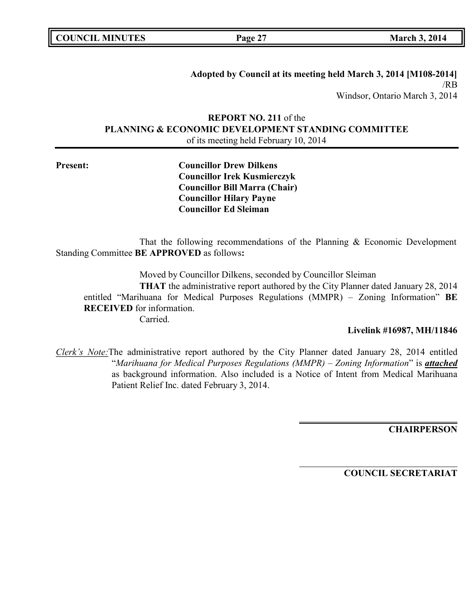| <b>COUNCIL MINUTES</b> |  |
|------------------------|--|
|------------------------|--|

**COUNCIL <b>EXECUTE: COUNCIL <b>EXECUTE: COUNCIL 2014** 

**Adopted by Council at its meeting held March 3, 2014 [M108-2014]** /RB Windsor, Ontario March 3, 2014

## **REPORT NO. 211** of the **PLANNING & ECONOMIC DEVELOPMENT STANDING COMMITTEE** of its meeting held February 10, 2014

**Present: Councillor Drew Dilkens Councillor Irek Kusmierczyk Councillor Bill Marra (Chair) Councillor Hilary Payne Councillor Ed Sleiman**

That the following recommendations of the Planning & Economic Development Standing Committee **BE APPROVED** as follows**:**

Moved by Councillor Dilkens, seconded by Councillor Sleiman

**THAT** the administrative report authored by the City Planner dated January 28, 2014 entitled "Marihuana for Medical Purposes Regulations (MMPR) – Zoning Information" **BE RECEIVED** for information.

Carried.

**Livelink #16987, MH/11846**

*Clerk's Note:*The administrative report authored by the City Planner dated January 28, 2014 entitled "*Marihuana for Medical Purposes Regulations (MMPR) – Zoning Information*" is *attached* as background information. Also included is a Notice of Intent from Medical Marihuana Patient Relief Inc. dated February 3, 2014.

**CHAIRPERSON**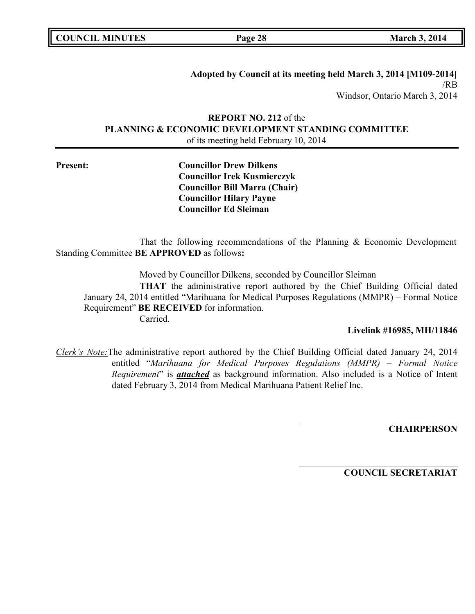|  | <b>COUNCIL MINUTES</b> |
|--|------------------------|
|--|------------------------|

**COUNCIL <b>EXECUTE: COUNCIL <b>EXECUTE: COUNCIL 2014** 

**Adopted by Council at its meeting held March 3, 2014 [M109-2014]** /RB Windsor, Ontario March 3, 2014

## **REPORT NO. 212** of the **PLANNING & ECONOMIC DEVELOPMENT STANDING COMMITTEE** of its meeting held February 10, 2014

**Present: Councillor Drew Dilkens Councillor Irek Kusmierczyk Councillor Bill Marra (Chair) Councillor Hilary Payne Councillor Ed Sleiman**

That the following recommendations of the Planning & Economic Development Standing Committee **BE APPROVED** as follows**:**

Moved by Councillor Dilkens, seconded by Councillor Sleiman

**THAT** the administrative report authored by the Chief Building Official dated January 24, 2014 entitled "Marihuana for Medical Purposes Regulations (MMPR) – Formal Notice Requirement" **BE RECEIVED** for information.

Carried.

#### **Livelink #16985, MH/11846**

*Clerk's Note:*The administrative report authored by the Chief Building Official dated January 24, 2014 entitled "*Marihuana for Medical Purposes Regulations (MMPR) – Formal Notice Requirement*" is *attached* as background information. Also included is a Notice of Intent dated February 3, 2014 from Medical Marihuana Patient Relief Inc.

**CHAIRPERSON**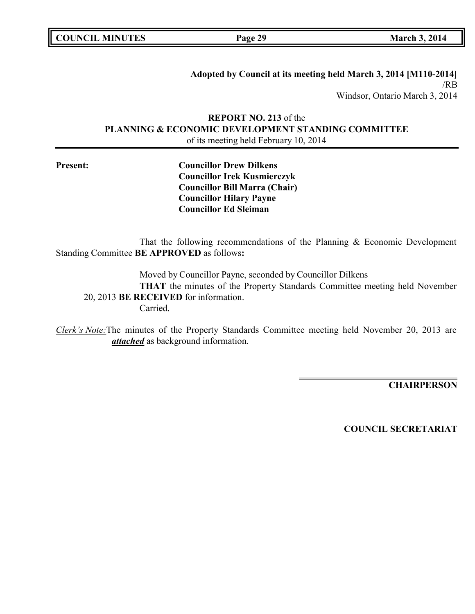**COUNCIL <b>EXECUTE: COUNCIL <b>EXECUTE: COUNCIL 2014** 

**Adopted by Council at its meeting held March 3, 2014 [M110-2014]** /RB Windsor, Ontario March 3, 2014

## **REPORT NO. 213** of the **PLANNING & ECONOMIC DEVELOPMENT STANDING COMMITTEE** of its meeting held February 10, 2014

**Present: Councillor Drew Dilkens Councillor Irek Kusmierczyk Councillor Bill Marra (Chair) Councillor Hilary Payne Councillor Ed Sleiman**

That the following recommendations of the Planning & Economic Development Standing Committee **BE APPROVED** as follows**:**

Moved by Councillor Payne, seconded by Councillor Dilkens **THAT** the minutes of the Property Standards Committee meeting held November 20, 2013 **BE RECEIVED** for information. Carried.

*Clerk's Note:*The minutes of the Property Standards Committee meeting held November 20, 2013 are *attached* as background information.

**CHAIRPERSON**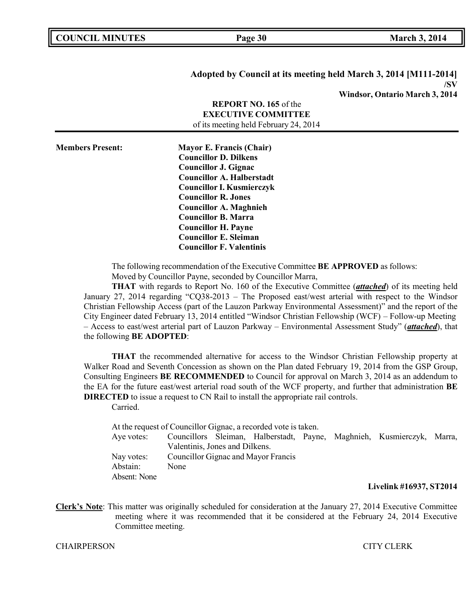| <b>COUNCIL MINUTES</b> |  |
|------------------------|--|
|------------------------|--|

#### **Adopted by Council at its meeting held March 3, 2014 [M111-2014] /SV Windsor, Ontario March 3, 2014**

|                         | <b>REPORT NO. 165 of the</b><br><b>EXECUTIVE COMMITTEE</b><br>of its meeting held February 24, 2014                                                                                                                                                                                                                                                                  |  |
|-------------------------|----------------------------------------------------------------------------------------------------------------------------------------------------------------------------------------------------------------------------------------------------------------------------------------------------------------------------------------------------------------------|--|
| <b>Members Present:</b> | <b>Mayor E. Francis (Chair)</b><br><b>Councillor D. Dilkens</b><br><b>Councillor J. Gignac</b><br><b>Councillor A. Halberstadt</b><br><b>Councillor I. Kusmierczyk</b><br><b>Councillor R. Jones</b><br><b>Councillor A. Maghnieh</b><br><b>Councillor B. Marra</b><br><b>Councillor H. Payne</b><br><b>Councillor E. Sleiman</b><br><b>Councillor F. Valentinis</b> |  |

The following recommendation of the Executive Committee **BE APPROVED** as follows: Moved by Councillor Payne, seconded by Councillor Marra,

**THAT** with regards to Report No. 160 of the Executive Committee (*attached*) of its meeting held January 27, 2014 regarding "CQ38-2013 – The Proposed east/west arterial with respect to the Windsor Christian Fellowship Access (part of the Lauzon Parkway Environmental Assessment)" and the report of the City Engineer dated February 13, 2014 entitled "Windsor Christian Fellowship (WCF) – Follow-up Meeting – Access to east/west arterial part of Lauzon Parkway – Environmental Assessment Study" (*attached*), that the following **BE ADOPTED**:

**THAT** the recommended alternative for access to the Windsor Christian Fellowship property at Walker Road and Seventh Concession as shown on the Plan dated February 19, 2014 from the GSP Group, Consulting Engineers **BE RECOMMENDED** to Council for approval on March 3, 2014 as an addendum to the EA for the future east/west arterial road south of the WCF property, and further that administration **BE DIRECTED** to issue a request to CN Rail to install the appropriate rail controls.

Carried.

At the request of Councillor Gignac, a recorded vote is taken. Aye votes: Councillors Sleiman, Halberstadt, Payne, Maghnieh, Kusmierczyk, Marra, Valentinis, Jones and Dilkens. Nay votes: Councillor Gignac and Mayor Francis Abstain: None Absent: None

#### **Livelink #16937, ST2014**

**Clerk's Note**: This matter was originally scheduled for consideration at the January 27, 2014 Executive Committee meeting where it was recommended that it be considered at the February 24, 2014 Executive Committee meeting.

CHAIRPERSON CITY CLERK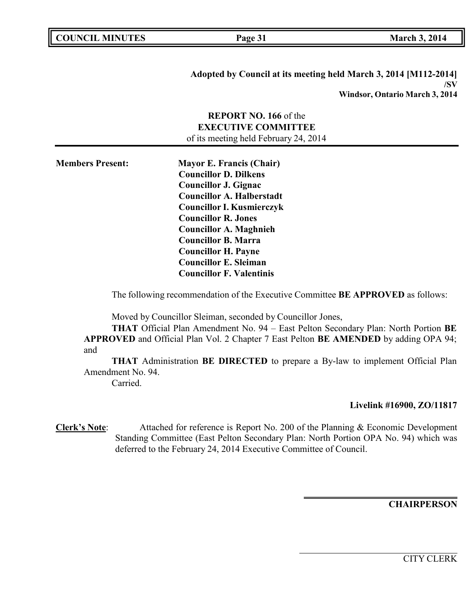**COUNCIL EXECUTE: COUNCIL EXECUTE: March 3, 2014** 

**Adopted by Council at its meeting held March 3, 2014 [M112-2014] /SV Windsor, Ontario March 3, 2014**

## **REPORT NO. 166** of the **EXECUTIVE COMMITTEE** of its meeting held February 24, 2014

**Members Present: Mayor E. Francis (Chair) Councillor D. Dilkens Councillor J. Gignac Councillor A. Halberstadt Councillor I. Kusmierczyk Councillor R. Jones Councillor A. Maghnieh Councillor B. Marra Councillor H. Payne Councillor E. Sleiman Councillor F. Valentinis**

The following recommendation of the Executive Committee **BE APPROVED** as follows:

Moved by Councillor Sleiman, seconded by Councillor Jones,

**THAT** Official Plan Amendment No. 94 – East Pelton Secondary Plan: North Portion **BE APPROVED** and Official Plan Vol. 2 Chapter 7 East Pelton **BE AMENDED** by adding OPA 94; and

**THAT** Administration **BE DIRECTED** to prepare a By-law to implement Official Plan Amendment No. 94.

Carried.

### **Livelink #16900, ZO/11817**

**Clerk's Note**: Attached for reference is Report No. 200 of the Planning & Economic Development Standing Committee (East Pelton Secondary Plan: North Portion OPA No. 94) which was deferred to the February 24, 2014 Executive Committee of Council.

**CHAIRPERSON**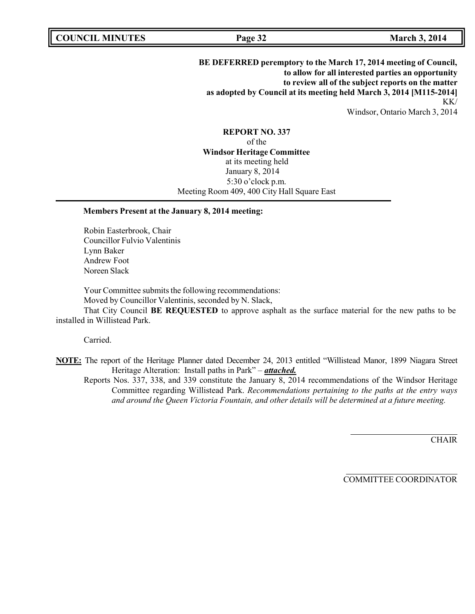**BE DEFERRED peremptory to the March 17, 2014 meeting of Council, to allow for all interested parties an opportunity to review all of the subject reports on the matter as adopted by Council at its meeting held March 3, 2014 [M115-2014]** KK/ Windsor, Ontario March 3, 2014

#### **REPORT NO. 337**

of the **Windsor Heritage Committee** at its meeting held January 8, 2014 5:30 o'clock p.m. Meeting Room 409, 400 City Hall Square East

#### **Members Present at the January 8, 2014 meeting:**

Robin Easterbrook, Chair Councillor Fulvio Valentinis Lynn Baker Andrew Foot Noreen Slack

Your Committee submits the following recommendations: Moved by Councillor Valentinis, seconded by N. Slack,

That City Council **BE REQUESTED** to approve asphalt as the surface material for the new paths to be installed in Willistead Park.

Carried.

**NOTE:** The report of the Heritage Planner dated December 24, 2013 entitled "Willistead Manor, 1899 Niagara Street Heritage Alteration: Install paths in Park" – *attached.*

Reports Nos. 337, 338, and 339 constitute the January 8, 2014 recommendations of the Windsor Heritage Committee regarding Willistead Park. *Recommendations pertaining to the paths at the entry ways and around the Queen Victoria Fountain, and other details will be determined at a future meeting.*

**CHAIR**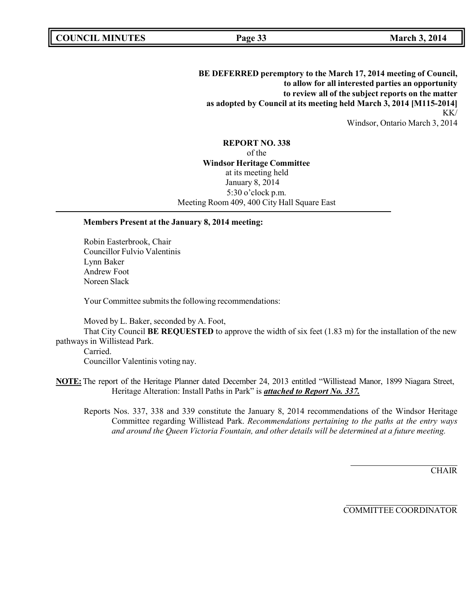**BE DEFERRED peremptory to the March 17, 2014 meeting of Council, to allow for all interested parties an opportunity to review all of the subject reports on the matter as adopted by Council at its meeting held March 3, 2014 [M115-2014]** KK/ Windsor, Ontario March 3, 2014

**REPORT NO. 338** of the **Windsor Heritage Committee** at its meeting held January 8, 2014 5:30 o'clock p.m. Meeting Room 409, 400 City Hall Square East

#### **Members Present at the January 8, 2014 meeting:**

Robin Easterbrook, Chair Councillor Fulvio Valentinis Lynn Baker Andrew Foot Noreen Slack

Your Committee submits the following recommendations:

Moved by L. Baker, seconded by A. Foot,

That City Council **BE REQUESTED** to approve the width of six feet (1.83 m) for the installation of the new pathways in Willistead Park.

Carried. Councillor Valentinis voting nay.

**NOTE:**The report of the Heritage Planner dated December 24, 2013 entitled "Willistead Manor, 1899 Niagara Street, Heritage Alteration: Install Paths in Park" is *attached to Report No. 337.*

Reports Nos. 337, 338 and 339 constitute the January 8, 2014 recommendations of the Windsor Heritage Committee regarding Willistead Park. *Recommendations pertaining to the paths at the entry ways and around the Queen Victoria Fountain, and other details will be determined at a future meeting.*

**CHAIR**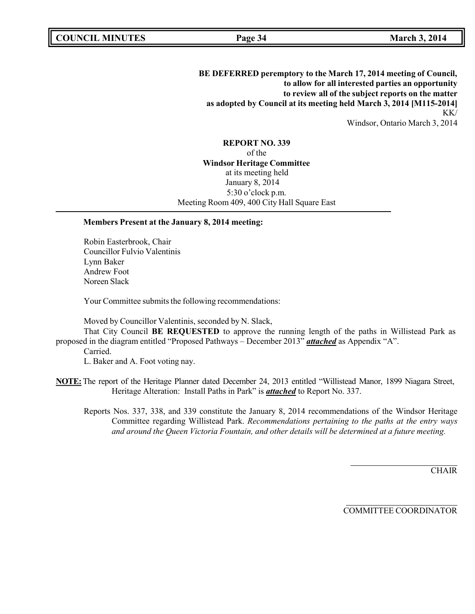**BE DEFERRED peremptory to the March 17, 2014 meeting of Council, to allow for all interested parties an opportunity to review all of the subject reports on the matter as adopted by Council at its meeting held March 3, 2014 [M115-2014]** KK/ Windsor, Ontario March 3, 2014

**REPORT NO. 339** of the **Windsor Heritage Committee** at its meeting held January 8, 2014 5:30 o'clock p.m. Meeting Room 409, 400 City Hall Square East

#### **Members Present at the January 8, 2014 meeting:**

Robin Easterbrook, Chair Councillor Fulvio Valentinis Lynn Baker Andrew Foot Noreen Slack

Your Committee submits the following recommendations:

Moved by Councillor Valentinis, seconded by N. Slack,

That City Council **BE REQUESTED** to approve the running length of the paths in Willistead Park as proposed in the diagram entitled "Proposed Pathways – December 2013" *attached* as Appendix "A".

Carried.

L. Baker and A. Foot voting nay.

**NOTE:**The report of the Heritage Planner dated December 24, 2013 entitled "Willistead Manor, 1899 Niagara Street, Heritage Alteration: Install Paths in Park" is *attached* to Report No. 337.

Reports Nos. 337, 338, and 339 constitute the January 8, 2014 recommendations of the Windsor Heritage Committee regarding Willistead Park. *Recommendations pertaining to the paths at the entry ways and around the Queen Victoria Fountain, and other details will be determined at a future meeting.*

**CHAIR**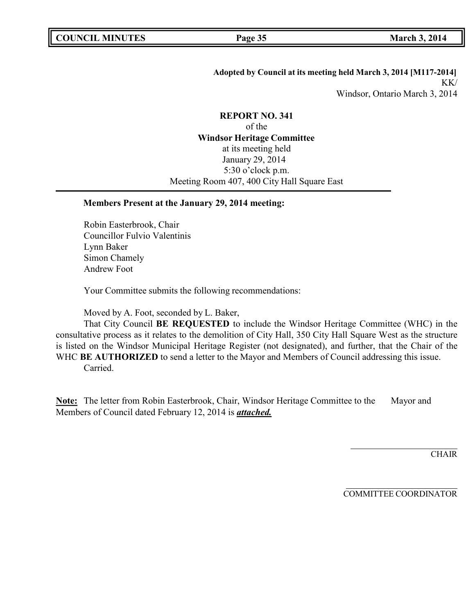# **Adopted by Council at its meeting held March 3, 2014 [M117-2014]** KK/ Windsor, Ontario March 3, 2014

# **REPORT NO. 341** of the **Windsor Heritage Committee** at its meeting held January 29, 2014 5:30 o'clock p.m. Meeting Room 407, 400 City Hall Square East

## **Members Present at the January 29, 2014 meeting:**

Robin Easterbrook, Chair Councillor Fulvio Valentinis Lynn Baker Simon Chamely Andrew Foot

Your Committee submits the following recommendations:

Moved by A. Foot, seconded by L. Baker,

That City Council **BE REQUESTED** to include the Windsor Heritage Committee (WHC) in the consultative process as it relates to the demolition of City Hall, 350 City Hall Square West as the structure is listed on the Windsor Municipal Heritage Register (not designated), and further, that the Chair of the WHC **BE AUTHORIZED** to send a letter to the Mayor and Members of Council addressing this issue.

Carried.

Note: The letter from Robin Easterbrook, Chair, Windsor Heritage Committee to the Mayor and Members of Council dated February 12, 2014 is *attached.*

**CHAIR**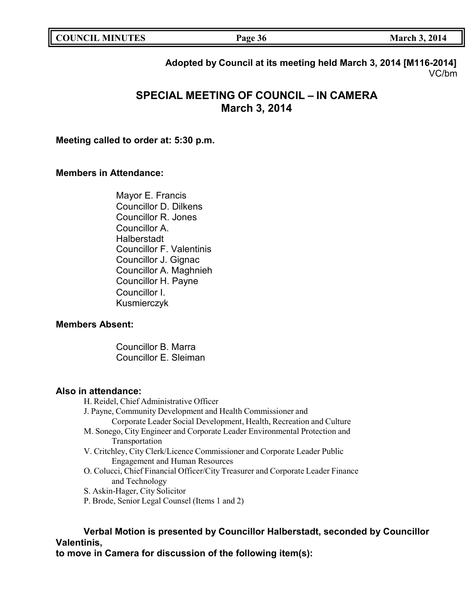| <b>COUNCIL MINUTES</b> | Page 36 | <b>March 3, 2014</b> |
|------------------------|---------|----------------------|
|                        |         |                      |

**Adopted by Council at its meeting held March 3, 2014 [M116-2014]** VC/bm

# **SPECIAL MEETING OF COUNCIL – IN CAMERA March 3, 2014**

**Meeting called to order at: 5:30 p.m.**

### **Members in Attendance:**

Mayor E. Francis Councillor D. Dilkens Councillor R. Jones Councillor A. Halberstadt Councillor F. Valentinis Councillor J. Gignac Councillor A. Maghnieh Councillor H. Payne Councillor I. Kusmierczyk

## **Members Absent:**

Councillor B. Marra Councillor E. Sleiman

### **Also in attendance:**

H. Reidel, Chief Administrative Officer

- J. Payne, Community Development and Health Commissioner and
	- Corporate Leader Social Development, Health, Recreation and Culture
- M. Sonego, City Engineer and Corporate Leader Environmental Protection and Transportation
- V. Critchley, City Clerk/Licence Commissioner and Corporate Leader Public Engagement and Human Resources
- O. Colucci, Chief Financial Officer/City Treasurer and Corporate Leader Finance and Technology
- S. Askin-Hager, City Solicitor
- P. Brode, Senior Legal Counsel (Items 1 and 2)

# **Verbal Motion is presented by Councillor Halberstadt, seconded by Councillor Valentinis,**

**to move in Camera for discussion of the following item(s):**